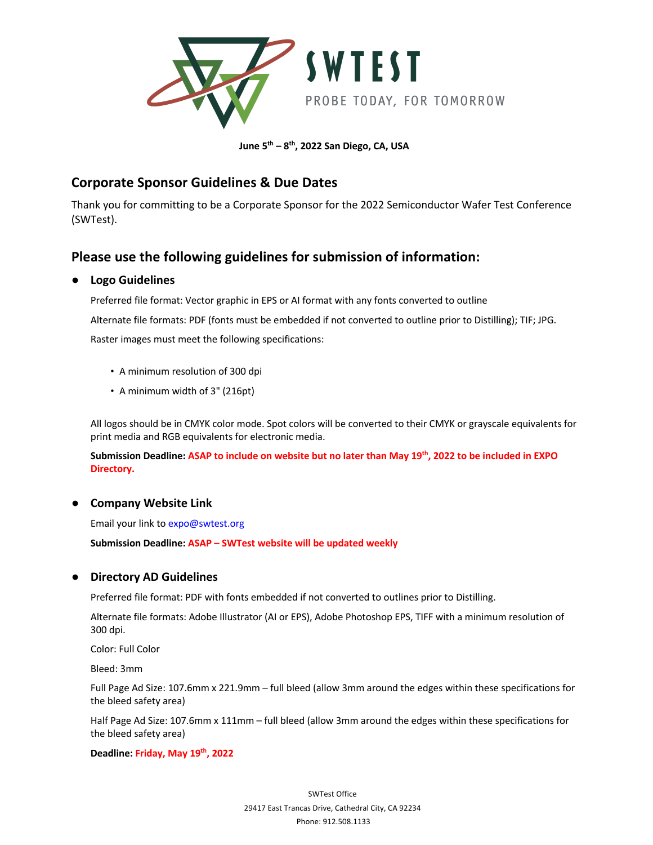

**June 5th – 8th, 2022 San Diego, CA, USA**

## **Corporate Sponsor Guidelines & Due Dates**

Thank you for committing to be a Corporate Sponsor for the 2022 Semiconductor Wafer Test Conference (SWTest).

# **Please use the following guidelines for submission of information:**

### ● **Logo Guidelines**

Preferred file format: Vector graphic in EPS or AI format with any fonts converted to outline Alternate file formats: PDF (fonts must be embedded if not converted to outline prior to Distilling); TIF; JPG. Raster images must meet the following specifications:

- A minimum resolution of 300 dpi
- A minimum width of 3" (216pt)

All logos should be in CMYK color mode. Spot colors will be converted to their CMYK or grayscale equivalents for print media and RGB equivalents for electronic media.

**Submission Deadline: ASAP to include on website but no later than May 19th, 2022 to be included in EXPO Directory.**

### ● **Company Website Link**

Email your link to expo@swtest.org

**Submission Deadline: ASAP – SWTest website will be updated weekly**

### ● **Directory AD Guidelines**

Preferred file format: PDF with fonts embedded if not converted to outlines prior to Distilling.

Alternate file formats: Adobe Illustrator (AI or EPS), Adobe Photoshop EPS, TIFF with a minimum resolution of 300 dpi.

Color: Full Color

Bleed: 3mm

Full Page Ad Size: 107.6mm x 221.9mm – full bleed (allow 3mm around the edges within these specifications for the bleed safety area)

Half Page Ad Size: 107.6mm x 111mm – full bleed (allow 3mm around the edges within these specifications for the bleed safety area)

#### **Deadline: Friday, May 19th, 2022**

SWTest Office 29417 East Trancas Drive, Cathedral City, CA 92234 Phone: 912.508.1133